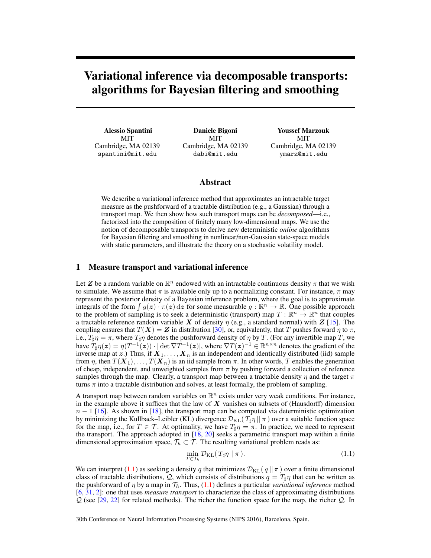# Variational inference via decomposable transports: algorithms for Bayesian filtering and smoothing

Alessio Spantini MIT Cambridge, MA 02139 spantini@mit.edu

Daniele Bigoni MIT Cambridge, MA 02139 dabi@mit.edu

Youssef Marzouk **MIT** Cambridge, MA 02139 ymarz@mit.edu

# Abstract

We describe a variational inference method that approximates an intractable target measure as the pushforward of a tractable distribution (e.g., a Gaussian) through a transport map. We then show how such transport maps can be *decomposed*—i.e., factorized into the composition of finitely many low-dimensional maps. We use the notion of decomposable transports to derive new deterministic *online* algorithms for Bayesian filtering and smoothing in nonlinear/non-Gaussian state-space models with static parameters, and illustrate the theory on a stochastic volatility model.

# 1 Measure transport and variational inference

Let Z be a random variable on  $\mathbb{R}^n$  endowed with an intractable continuous density  $\pi$  that we wish to simulate. We assume that  $\pi$  is available only up to a normalizing constant. For instance,  $\pi$  may represent the posterior density of a Bayesian inference problem, where the goal is to approximate integrals of the form  $\int g(z) \cdot \pi(z) dz$  for some measurable  $g : \mathbb{R}^n \to \mathbb{R}$ . One possible approach to the problem of sampling is to seek a deterministic (transport) map  $T : \mathbb{R}^n \to \mathbb{R}^n$  that couples a tractable reference random variable X of density  $\eta$  (e.g., a standard normal) with Z [\[15\]](#page-6-0). The coupling ensures that  $T(X) = Z$  in distribution [\[30\]](#page-7-0), or, equivalently, that T pushes forward  $\eta$  to  $\pi$ , i.e.,  $T_{\sharp}\eta = \pi$ , where  $T_{\sharp}\eta$  denotes the pushforward density of  $\eta$  by T. (For any invertible map T, we have  $T_{\sharp} \eta(z) = \eta(T^{-1}(z)) \cdot |\det \nabla T^{-1}(z)|$ , where  $\nabla T(z)^{-1} \in \mathbb{R}^{n \times n}$  denotes the gradient of the inverse map at z.) Thus, if  $X_1, \ldots, X_n$  is an independent and identically distributed (iid) sample from η, then  $T(X_1), \ldots, T(X_n)$  is an iid sample from  $\pi$ . In other words, T enables the generation of cheap, independent, and unweighted samples from  $\pi$  by pushing forward a collection of reference samples through the map. Clearly, a transport map between a tractable density  $\eta$  and the target  $\pi$ turns  $\pi$  into a tractable distribution and solves, at least formally, the problem of sampling.

A transport map between random variables on  $\mathbb{R}^n$  exists under very weak conditions. For instance, in the example above it suffices that the law of  $X$  vanishes on subsets of (Hausdorff) dimension  $n-1$  [\[16\]](#page-6-1). As shown in [\[18\]](#page-6-2), the transport map can be computed via deterministic optimization by minimizing the Kullback–Leibler (KL) divergence  $\mathcal{D}_{KL}(T_{\sharp}\eta || \pi)$  over a suitable function space for the map, i.e., for  $T \in \mathcal{T}$ . At optimality, we have  $T_{\sharp} \eta = \pi$ . In practice, we need to represent the transport. The approach adopted in [\[18,](#page-6-2) [20\]](#page-6-3) seeks a parametric transport map within a finite dimensional approximation space,  $\mathcal{T}_h \subset \mathcal{T}$ . The resulting variational problem reads as:

<span id="page-0-0"></span>
$$
\min_{T \in \mathcal{T}_h} \mathcal{D}_{\text{KL}}(T_{\sharp} \eta || \pi). \tag{1.1}
$$

We can interpret [\(1.1\)](#page-0-0) as seeking a density q that minimizes  $\mathcal{D}_{KL}(q || \pi)$  over a finite dimensional class of tractable distributions, Q, which consists of distributions  $q = T_{\text{H}} \eta$  that can be written as the pushforward of  $\eta$  by a map in  $\mathcal{T}_h$ . Thus, [\(1.1\)](#page-0-0) defines a particular *variational inference* method [\[6,](#page-6-4) [31,](#page-7-1) [2\]](#page-6-5): one that uses *measure transport* to characterize the class of approximating distributions  $Q$  (see [\[29,](#page-7-2) [22\]](#page-7-3) for related methods). The richer the function space for the map, the richer  $Q$ . In

30th Conference on Neural Information Processing Systems (NIPS 2016), Barcelona, Spain.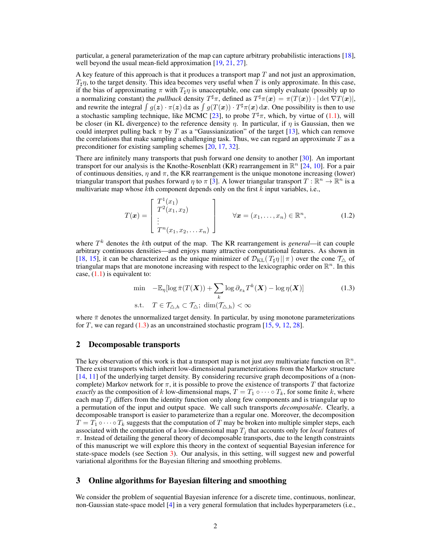particular, a general parameterization of the map can capture arbitrary probabilistic interactions [\[18\]](#page-6-2), well beyond the usual mean-field approximation [\[19,](#page-6-6) [21,](#page-6-7) [27\]](#page-7-4).

A key feature of this approach is that it produces a transport map  $T$  and not just an approximation,  $T_{\text{H}}\eta$ , to the target density. This idea becomes very useful when T is only approximate. In this case, if the bias of approximating  $\pi$  with  $T_{\text{H}}\eta$  is unacceptable, one can simply evaluate (possibly up to a normalizing constant) the *pullback* density  $T^{\sharp}\pi$ , defined as  $T^{\sharp}\pi(\boldsymbol{x}) = \pi(T(\boldsymbol{x})) \cdot |\det \nabla T(\boldsymbol{x})|$ , and rewrite the integral  $\int g(z) \cdot \pi(z) dz$  as  $\int g(T(x)) \cdot T^{\sharp} \pi(x) dx$ . One possibility is then to use a stochastic sampling technique, like MCMC [\[23\]](#page-7-5), to probe  $T^{\sharp} \pi$ , which, by virtue of [\(1.1\)](#page-0-0), will be closer (in KL divergence) to the reference density  $\eta$ . In particular, if  $\eta$  is Gaussian, then we could interpret pulling back  $\pi$  by T as a "Gaussianization" of the target [\[13\]](#page-6-8), which can remove the correlations that make sampling a challenging task. Thus, we can regard an approximate  $T$  as a preconditioner for existing sampling schemes [\[20,](#page-6-3) [17,](#page-6-9) [32\]](#page-7-6).

There are infinitely many transports that push forward one density to another [\[30\]](#page-7-0). An important transport for our analysis is the Knothe-Rosenblatt (KR) rearrangement in  $\mathbb{R}^n$  [\[24,](#page-7-7) [10\]](#page-6-10). For a pair of continuous densities,  $\eta$  and  $\pi$ , the KR rearrangement is the unique monotone increasing (lower) triangular transport that pushes forward  $\eta$  to  $\pi$  [\[3\]](#page-6-11). A lower triangular transport  $T : \mathbb{R}^n \to \mathbb{R}^n$  is a multivariate map whose  $k$ th component depends only on the first  $k$  input variables, i.e.,

$$
T(\boldsymbol{x}) = \begin{bmatrix} T^{1}(x_{1}) \\ T^{2}(x_{1}, x_{2}) \\ \vdots \\ T^{n}(x_{1}, x_{2}, \dots x_{n}) \end{bmatrix} \qquad \forall \boldsymbol{x} = (x_{1}, \dots, x_{n}) \in \mathbb{R}^{n}, \qquad (1.2)
$$

where  $T<sup>k</sup>$  denotes the kth output of the map. The KR rearrangement is *general*—it can couple arbitrary continuous densities—and enjoys many attractive computational features. As shown in [\[18,](#page-6-2) [15\]](#page-6-0), it can be characterized as the unique minimizer of  $\mathcal{D}_{KL}(T_{\sharp}\eta || \pi)$  over the cone  $\mathcal{T}_{\Delta}$  of triangular maps that are monotone increasing with respect to the lexicographic order on  $\mathbb{R}^n$ . In this case,  $(1.1)$  is equivalent to:

<span id="page-1-0"></span>
$$
\min -\mathbb{E}_{\eta}[\log \bar{\pi}(T(\boldsymbol{X})) + \sum_{k} \log \partial_{x_{k}} T^{k}(\boldsymbol{X}) - \log \eta(\boldsymbol{X})]
$$
\n
$$
\text{s.t.} \quad T \in \mathcal{T}_{\triangle, h} \subset \mathcal{T}_{\triangle}; \ \dim(\mathcal{T}_{\triangle, h}) < \infty \tag{1.3}
$$

where  $\bar{\pi}$  denotes the unnormalized target density. In particular, by using monotone parameterizations for T, we can regard  $(1.3)$  as an unconstrained stochastic program  $[15, 9, 12, 28]$  $[15, 9, 12, 28]$  $[15, 9, 12, 28]$  $[15, 9, 12, 28]$  $[15, 9, 12, 28]$  $[15, 9, 12, 28]$  $[15, 9, 12, 28]$ .

### 2 Decomposable transports

The key observation of this work is that a transport map is not just *any* multivariate function on  $\mathbb{R}^n$ . There exist transports which inherit low-dimensional parameterizations from the Markov structure [\[14,](#page-6-14) [11\]](#page-6-15) of the underlying target density. By considering recursive graph decompositions of a (noncomplete) Markov network for  $\pi$ , it is possible to prove the existence of transports T that factorize *exactly* as the composition of k low-dimensional maps,  $T = T_1 \circ \cdots \circ T_k$ , for some finite k, where each map  $T_i$  differs from the identity function only along few components and is triangular up to a permutation of the input and output space. We call such transports *decomposable*. Clearly, a decomposable transport is easier to parameterize than a regular one. Moreover, the decomposition  $T = T_1 \circ \cdots \circ T_k$  suggests that the computation of T may be broken into multiple simpler steps, each associated with the computation of a low-dimensional map  $T_j$  that accounts only for *local* features of  $\pi$ . Instead of detailing the general theory of decomposable transports, due to the length constraints of this manuscript we will explore this theory in the context of sequential Bayesian inference for state-space models (see Section [3\)](#page-1-1). Our analysis, in this setting, will suggest new and powerful variational algorithms for the Bayesian filtering and smoothing problems.

## <span id="page-1-1"></span>3 Online algorithms for Bayesian filtering and smoothing

We consider the problem of sequential Bayesian inference for a discrete time, continuous, nonlinear, non-Gaussian state-space model [\[4\]](#page-6-16) in a very general formulation that includes hyperparameters (i.e.,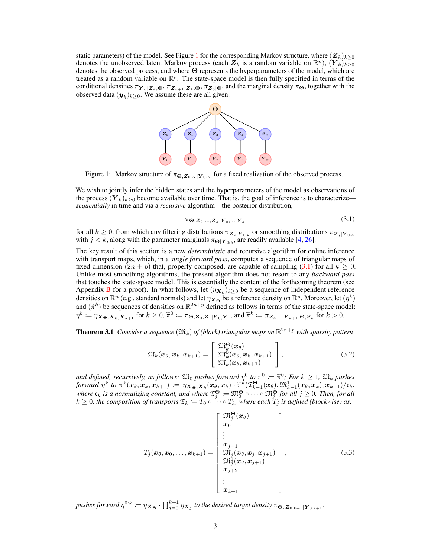static parameters) of the model. See Figure [1](#page-2-0) for the corresponding Markov structure, where  $(\mathbf{Z}_k)_{k>0}$ denotes the unobserved latent Markov process (each  $Z_k$  is a random variable on  $\mathbb{R}^n$ ),  $(Y_k)_{k\geq 0}$ denotes the observed process, and where Θ represents the hyperparameters of the model, which are treated as a random variable on  $\mathbb{R}^p$ . The state-space model is then fully specified in terms of the conditional densities  $\pi_{Y_k|Z_k,\Theta}$ ,  $\pi_{Z_{k+1}|Z_k,\Theta}$ ,  $\pi_{Z_0|\Theta}$ , and the marginal density  $\pi_{\Theta}$ , together with the observed data  $(\boldsymbol{y}_k)_{k \geq 0}$ . We assume these are all given.



<span id="page-2-0"></span>Figure 1: Markov structure of  $\pi_{\Theta, \mathbf{Z}_{0:N} | \mathbf{Y}_{0:N}}$  for a fixed realization of the observed process.

We wish to jointly infer the hidden states and the hyperparameters of the model as observations of the process  $(Y_k)_{k>0}$  become available over time. That is, the goal of inference is to characterize *sequentially* in time and via a *recursive* algorithm—the posterior distribution,

<span id="page-2-4"></span><span id="page-2-1"></span>
$$
\pi_{\boldsymbol{\Theta}, \boldsymbol{Z}_0, \dots, \boldsymbol{Z}_k | \boldsymbol{Y}_0, \dots, \boldsymbol{Y}_k} \tag{3.1}
$$

for all  $k \ge 0$ , from which any filtering distributions  $\pi_{\mathbf{Z}_k|\mathbf{Y}_{0:k}}$  or smoothing distributions  $\pi_{\mathbf{Z}_j|\mathbf{Y}_{0:k}}$ with  $j < k$ , along with the parameter marginals  $\pi_{\Theta|Y_{0:k}}$ , are readily available [\[4,](#page-6-16) [26\]](#page-7-9).

The key result of this section is a new *deterministic* and recursive algorithm for online inference with transport maps, which, in a *single forward pass*, computes a sequence of triangular maps of fixed dimension  $(2n + p)$  that, properly composed, are capable of sampling [\(3.1\)](#page-2-1) for all  $k \ge 0$ . Unlike most smoothing algorithms, the present algorithm does not resort to any *backward pass* that touches the state-space model. This is essentially the content of the forthcoming theorem (see Appendix [B](#page-5-0) for a proof). In what follows, let  $(\eta_{X_k})_{k\geq 0}$  be a sequence of independent reference densities on  $\mathbb{R}^n$  (e.g., standard normals) and let  $\eta_{\mathbf{X}_\Theta}$  be a reference density on  $\mathbb{R}^p$ . Moreover, let  $(\eta^k)$ and  $(\tilde{\pi}^k)$  be sequences of densities on  $\mathbb{R}^{2n+p}$  defined as follows in terms of the state-space model:<br> $x^k := \pi_{\tilde{\pi}} - \pi_{\tilde{\pi}} = \pi_{\tilde{\pi}} - \pi_{\tilde{\pi}} = \pi_{\tilde{\pi}} - \pi_{\tilde{\pi}} = \pi_{\tilde{\pi}} - \pi_{\tilde{\pi}} = \pi_{\tilde{\pi}} - \pi_{\tilde{\pi}} = \pi_{$  $\eta^k := \eta_{\boldsymbol{X}_{\boldsymbol{\Theta}},\boldsymbol{X}_k,\boldsymbol{X}_{k+1}}$  for  $k \geq 0$ ,  $\widetilde{\pi}^0 := \pi_{\boldsymbol{\Theta},\boldsymbol{Z}_0,\boldsymbol{Z}_1|\boldsymbol{Y}_0,\boldsymbol{Y}_1}$ , and  $\widetilde{\pi}^k := \pi_{\boldsymbol{Z}_{k+1},\boldsymbol{Y}_{k+1}|\boldsymbol{\Theta},\boldsymbol{Z}_k}$  for  $k > 0$ .

<span id="page-2-2"></span>**Theorem 3.1** Consider a sequence  $(\mathfrak{M}_k)$  of (block) triangular maps on  $\mathbb{R}^{2n+p}$  with sparsity pattern

$$
\mathfrak{M}_k(\boldsymbol{x}_{\theta},\boldsymbol{x}_k,\boldsymbol{x}_{k+1}) = \left[\begin{array}{c} \mathfrak{M}_k^{\Theta}(\boldsymbol{x}_{\theta}) \\ \mathfrak{M}_k^0(\boldsymbol{x}_{\theta},\boldsymbol{x}_k,\boldsymbol{x}_{k+1}) \\ \mathfrak{M}_k^1(\boldsymbol{x}_{\theta},\boldsymbol{x}_{k+1}) \end{array}\right],
$$
\n(3.2)

*and defined, recursively, as follows:*  $\mathfrak{M}_0$  *pushes forward*  $\eta^0$  *to*  $\pi^0 := \widetilde{\pi}^0$ ; *For*  $k \geq 1$ ,  $\mathfrak{M}_k$  *pushes*<br>*forward*  $n^k$  *to*  $\pi^k(x_0, x_1, x_2, \ldots) = n\mathbf{x}_k \cdot \mathbf{x}_k(x_0, x_1) \cdot \widetilde{\pi}^k(\mathcal{F}^{\Theta}_{$ *forward*  $\eta^k$  *to*  $\pi^k(\mathbf{x}_{\theta}, \mathbf{x}_k, \mathbf{x}_{k+1}) := \eta_{\mathbf{X}_{\Theta}, \mathbf{X}_k}(\mathbf{x}_{\theta}, \mathbf{x}_k) \cdot \widetilde{\pi}^k(\mathfrak{T}_{k-1}^{\Theta}(\mathbf{x}_{\theta}), \mathfrak{M}_{k-1}^1(\mathbf{x}_{\theta}, \mathbf{x}_k), \mathbf{x}_{k+1})/\mathfrak{c}_k$ where  $\mathfrak{c}_k$  is a normalizing constant, and where  $\mathfrak{T}^{\Theta}_j:=\mathfrak{M}^{\Theta}_0\circ\cdots\circ\mathfrak{M}^{\Theta}_j$  for all  $j\geq 0$ . Then, for all  $k \geq 0$ , the composition of transports  $\mathfrak{T}_k := T_0 \circ \cdots \circ T_k$ , where each  $T_j$  is defined (blockwise) as:

<span id="page-2-3"></span>
$$
T_j(\boldsymbol{x}_{\theta}, \boldsymbol{x}_0, \ldots, \boldsymbol{x}_{k+1}) = \begin{bmatrix} \mathfrak{M}_j^{\Theta}(\boldsymbol{x}_{\theta}) \\ \boldsymbol{x}_0 \\ \vdots \\ \mathfrak{M}_j^0(\boldsymbol{x}_{\theta}, \boldsymbol{x}_j, \boldsymbol{x}_{j+1}) \\ \mathfrak{M}_j^1(\boldsymbol{x}_{\theta}, \boldsymbol{x}_{j+1}) \\ \boldsymbol{x}_{j+2} \\ \vdots \\ \boldsymbol{x}_{k+1} \end{bmatrix}, \qquad (3.3)
$$

pushes forward  $\eta^{0:k}\coloneqq\eta_{\boldsymbol{X}_{\Theta}}\cdot\prod_{j=0}^{k+1}\eta_{\boldsymbol{X}_j}$  to the desired target density  $\pi_{\boldsymbol{\Theta},\boldsymbol{Z}_{0:k+1}}|_{\boldsymbol{Y}_{0:k+1}}.$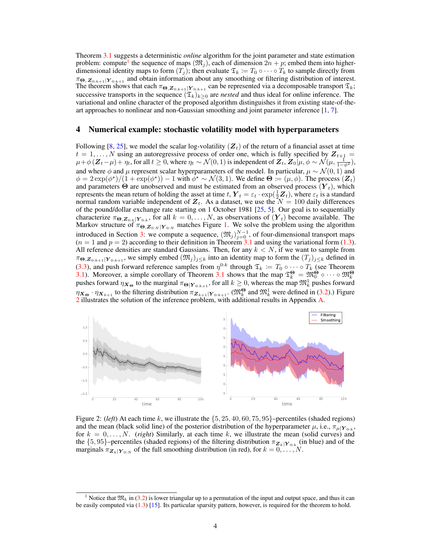Theorem [3.1](#page-2-2) suggests a deterministic *online* algorithm for the joint parameter and state estimation problem: compute<sup>[1](#page-3-0)</sup> the sequence of maps  $(\mathfrak{M}_j)$ , each of dimension  $2n + p$ ; embed them into higherdimensional identity maps to form  $(T_j)$ ; then evaluate  $\mathfrak{T}_k := T_0 \circ \cdots \circ T_k$  to sample directly from  $\pi_{\Theta, \mathbf{Z}_{0:k+1}|\mathbf{Y}_{0:k+1}}$  and obtain information about any smoothing or filtering distribution of interest. The theorem shows that each  $\pi_{\Theta, \mathbf{Z}_{0:k+1}|\mathbf{Y}_{0:k+1}}$  can be represented via a decomposable transport  $\mathfrak{T}_k$ ; successive transports in the sequence  $(\mathfrak{T}_k)_{k\geq 0}$  are *nested* and thus ideal for online inference. The variational and online character of the proposed algorithm distinguishes it from existing state-of-theart approaches to nonlinear and non-Gaussian smoothing and joint parameter inference [\[1,](#page-6-17) [7\]](#page-6-18).

#### <span id="page-3-2"></span>4 Numerical example: stochastic volatility model with hyperparameters

Following [\[8,](#page-6-19) [25\]](#page-7-10), we model the scalar log-volatility  $(Z_t)$  of the return of a financial asset at time  $t = 1, \ldots, N$  using an autoregressive process of order one, which is fully specified by  $\mathbf{Z}_{t+1} =$  $\mu+\phi(Z_t-\mu)+\eta_t$ , for all  $t\geq 0$ , where  $\eta_t \sim \mathcal{N}(0,1)$  is independent of  $Z_t$ ,  $Z_0\hat{[}\mu, \phi \sim \mathcal{N}(\mu, \frac{1}{1-\phi^2})$ , and where  $\phi$  and  $\mu$  represent scalar hyperparameters of the model. In particular,  $\mu \sim \mathcal{N}(0, 1)$  and  $\phi = 2 \exp(\phi^*)/(1 + \exp(\phi^*)) - 1$  with  $\phi^* \sim \mathcal{N}(3, 1)$ . We define  $\Theta := (\mu, \phi)$ . The process  $(\mathbf{Z}_t)$ and parameters  $\Theta$  are unobserved and must be estimated from an observed process  $(Y_t)$ , which represents the mean return of holding the asset at time  $t$ ,  $\boldsymbol{Y}_t = \varepsilon_t \cdot \exp(\frac{1}{2} \boldsymbol{Z}_t)$ , where  $\varepsilon_t$  is a standard normal random variable independent of  $Z_t$ . As a dataset, we use the  $N = 100$  daily differences of the pound/dollar exchange rate starting on 1 October 1981 [\[25,](#page-7-10) [5\]](#page-6-20). Our goal is to sequentially characterize  $\pi_{\Theta, \mathbf{Z}_{0:k} | \mathbf{Y}_{0:k}}$ , for all  $k = 0, \ldots, N$ , as observations of  $(\mathbf{Y}_t)$  become available. The Markov structure of  $\pi_{\Theta, \mathbf{Z}_{0:N} | \mathbf{Y}_{0:N}}$  matches Figure [1.](#page-2-0) We solve the problem using the algorithm introduced in Section [3:](#page-1-1) we compute a sequence,  $(\mathfrak{M}_j)_{j=0}^{N-1}$ , of four-dimensional transport maps  $(n = 1 \text{ and } p = 2)$  according to their definition in Theorem [3.1](#page-2-2) and using the variational form [\(1.3\)](#page-1-0). All reference densities are standard Gaussians. Then, for any  $k < N$ , if we want to sample from  $\pi_{\Theta, \mathbf{Z}_{0:k+1}|\mathbf{Y}_{0:k+1}}$ , we simply embed  $(\mathfrak{M}_j)_{j\leq k}$  into an identity map to form the  $(T_j)_{j\leq k}$  defined in [\(3.3\)](#page-2-3), and push forward reference samples from  $\eta^{0:k}$  through  $\mathfrak{T}_k := T_0 \circ \cdots \circ T_k$  (see Theorem [3.1\)](#page-2-2). Moreover, a simple corollary of Theorem [3.1](#page-2-2) shows that the map  $\mathfrak{T}_k^{\Theta} = \mathfrak{M}_0^{\Theta} \circ \cdots \circ \mathfrak{M}_k^{\Theta}$ pushes forward  $\eta_{\bm{X}_\Theta}$  to the marginal  $\pi_{\Theta|\bm{Y}_{0:k+1}}$ , for all  $k \geq 0$ , whereas the map  $\mathfrak{M}^1_k$  pushes forward  $\eta_{\mathbf{X}_{\Theta}} \cdot \eta_{\mathbf{X}_{k+1}}$  to the filtering distribution  $\pi_{\mathbf{Z}_{k+1}|\mathbf{Y}_{0:k+1}}$ . ( $\mathfrak{M}_k^{\Theta}$  and  $\mathfrak{M}_k^1$  were defined in [\(3.2\)](#page-2-4).) Figure [2](#page-3-1) illustrates the solution of the inference problem, with additional results in Appendix [A.](#page-4-0)



<span id="page-3-1"></span>Figure 2: (*left*) At each time k, we illustrate the  $\{5, 25, 40, 60, 75, 95\}$ -percentiles (shaded regions) and the mean (black solid line) of the posterior distribution of the hyperparameter  $\mu$ , i.e.,  $\pi_{\mu|Y_{0:k}}$ , for  $k = 0, \ldots, N$ . (*right*) Similarly, at each time k, we illustrate the mean (solid curves) and the  $\{5, 95\}$ -percentiles (shaded regions) of the filtering distribution  $\pi_{\mathbf{Z}_k|\mathbf{Y}_{0:k}}$  (in blue) and of the marginals  $\pi_{\mathbf{Z}_k|\mathbf{Y}_{0:N}}$  of the full smoothing distribution (in red), for  $k = 0, \ldots, N$ .

<span id="page-3-0"></span><sup>&</sup>lt;sup>1</sup> Notice that  $\mathfrak{M}_k$  in [\(3.2\)](#page-2-4) is lower triangular up to a permutation of the input and output space, and thus it can be easily computed via [\(1.3\)](#page-1-0) [\[15\]](#page-6-0). Its particular sparsity pattern, however, is required for the theorem to hold.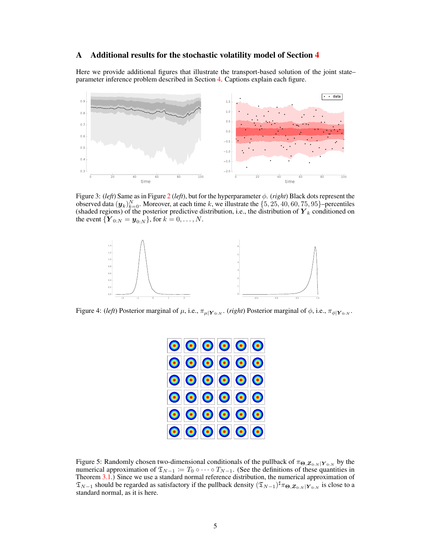## <span id="page-4-0"></span>A Additional results for the stochastic volatility model of Section [4](#page-3-2)

Here we provide additional figures that illustrate the transport-based solution of the joint state– parameter inference problem described in Section [4.](#page-3-2) Captions explain each figure.



Figure 3: (*left*) Same as in Figure [2](#page-3-1) (*left*), but for the hyperparameter φ. (*right*) Black dots represent the observed data  $(\bm{y}_k)_{k=0}^N$ . Moreover, at each time k, we illustrate the  $\{5, 25, 40, 60, 75, 95\}$ -percentiles (shaded regions) of the posterior predictive distribution, i.e., the distribution of  $\boldsymbol{Y}_k$  conditioned on the event  $\{Y_{0:N} = y_{0:N}\}\text{, for } k = 0, \ldots, N.$ 



Figure 4: (*left*) Posterior marginal of  $\mu$ , i.e.,  $\pi_{\mu|Y_{0:N}}$ . (*right*) Posterior marginal of  $\phi$ , i.e.,  $\pi_{\phi|Y_{0:N}}$ .

| $\textcolor{blue}{\text{10}}\text{10}\text{10}\text{10}\text{10}$ |  |  |
|-------------------------------------------------------------------|--|--|
| $ \mathbf{O}  \mathbf{O}  \mathbf{O}  \mathbf{O}  \mathbf{O} $    |  |  |
| $ \mathbf{O}  \mathbf{O}  \mathbf{O}  \mathbf{O}  \mathbf{O} $    |  |  |
| $ \mathbf{O}  \mathbf{O}  \mathbf{O}  \mathbf{O}  \mathbf{O} $    |  |  |
| $ \mathbf{O}  \mathbf{O}  \mathbf{O}  \mathbf{O}  \mathbf{O} $    |  |  |
| $ \mathbf{0} \mathbf{0} \mathbf{0} \mathbf{0} \mathbf{0} $        |  |  |

Figure 5: Randomly chosen two-dimensional conditionals of the pullback of  $\pi_{\Theta, \mathbf{Z}_{0:N} | \mathbf{Y}_{0:N}}$  by the numerical approximation of  $\mathfrak{T}_{N-1} := T_0 \circ \cdots \circ T_{N-1}$ . (See the definitions of these quantities in Theorem [3.1.](#page-2-2)) Since we use a standard normal reference distribution, the numerical approximation of  $\mathfrak{T}_{N-1}$  should be regarded as satisfactory if the pullback density  $(\mathfrak{T}_{N-1})^{\sharp}\pi_{\Theta,Z_{0:N}|Y_{0:N}}$  is close to a standard normal, as it is here.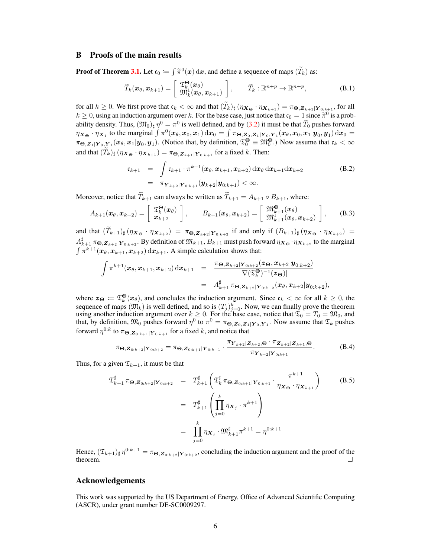## <span id="page-5-0"></span>B Proofs of the main results

**Proof of Theorem [3.1.](#page-2-2)** Let  $\mathfrak{c}_0 := \int \widetilde{\pi}^0(x) dx$ , and define a sequence of maps  $(\widetilde{T}_k)$  as:

$$
\widetilde{T}_k(\boldsymbol{x}_{\theta},\boldsymbol{x}_{k+1}) = \left[\begin{array}{c} \mathfrak{T}_{k}^{\boldsymbol{\Theta}}(\boldsymbol{x}_{\theta}) \\ \mathfrak{M}_k^1(\boldsymbol{x}_{\theta},\boldsymbol{x}_{k+1}) \end{array}\right], \qquad \widetilde{T}_k : \mathbb{R}^{n+p} \to \mathbb{R}^{n+p}, \tag{B.1}
$$

for all  $k \ge 0$ . We first prove that  $\mathfrak{c}_k < \infty$  and that  $(\widetilde{T}_k)_\sharp \left(\eta_{\boldsymbol{X_{\Theta}}} \cdot \eta_{\boldsymbol{X}_{k+1}}\right) = \pi_{\boldsymbol{\Theta}, \boldsymbol{Z}_{k+1} | \boldsymbol{Y}_{0:k+1}}$ , for all  $k \ge 0$ , using an induction argument over k. For the base case, just notice that  $\mathfrak{c}_0 = 1$  since  $\widetilde{\pi}^0$  is a prob-<br>obility density. Thus,  $(\mathfrak{W}_0)_{\mathfrak{m}} \mathfrak{O}_{\mathfrak{m}}$  is well defined and by (2.2) it must be ability density. Thus,  $(\mathfrak{M}_0)_{\sharp} \eta^0 = \pi^0$  is well defined, and by [\(3.2\)](#page-2-4) it must be that  $\widetilde{T}_0$  pushes forward  $\eta_{\boldsymbol{X_{\Theta}}} \cdot \eta_{\boldsymbol{X_1}}$  to the marginal  $\int \pi^0(\boldsymbol{x}_{\theta}, \boldsymbol{x}_0, \boldsymbol{x}_1) d\boldsymbol{x}_0 = \int \pi_{\boldsymbol{\Theta}, \boldsymbol{Z}_0, \boldsymbol{Z}_1 | \boldsymbol{Y}_0, \boldsymbol{Y}_1}(\boldsymbol{x}_{\theta}, \boldsymbol{x}_0, \boldsymbol{x}_1 | \boldsymbol{y}_0, \boldsymbol{y}_1) d\boldsymbol{x}_0 =$  $\pi_{\Theta,Z_1|Y_0,Y_1}(x_\theta,x_1|y_0,y_1)$ . (Notice that, by definition,  $\mathfrak{T}^\Theta_0 \equiv \mathfrak{M}_0^\Theta$ .) Now assume that  $\mathfrak{c}_k < \infty$ and that  $(\widetilde{T}_k)_{\sharp}$   $(\eta_{\mathbf{X}_{\Theta}} \cdot \eta_{\mathbf{X}_{k+1}}) = \pi_{\Theta, \mathbf{Z}_{k+1} | \mathbf{Y}_{0:k+1}}$  for a fixed k. Then:

$$
\mathfrak{c}_{k+1} = \int \mathfrak{c}_{k+1} \cdot \pi^{k+1} (x_{\theta}, x_{k+1}, x_{k+2}) \, dx_{\theta} \, dx_{k+1} dx_{k+2}
$$
\n
$$
= \pi_{\mathbf{Y}_{k+2}|\mathbf{Y}_{0:k+1}} (\mathbf{y}_{k+2}|\mathbf{y}_{0:k+1}) < \infty.
$$
\n(B.2)

Moreover, notice that  $\widetilde{T}_{k+1}$  can always be written as  $\widetilde{T}_{k+1} = A_{k+1} \circ B_{k+1}$ , where:

$$
A_{k+1}(\boldsymbol{x}_{\theta},\boldsymbol{x}_{k+2}) = \left[\begin{array}{c} \mathfrak{T}_{k}^{\boldsymbol{\Theta}}(\boldsymbol{x}_{\theta}) \\ \boldsymbol{x}_{k+2} \end{array}\right], \qquad B_{k+1}(\boldsymbol{x}_{\theta},\boldsymbol{x}_{k+2}) = \left[\begin{array}{c} \mathfrak{M}_{k+1}^{\boldsymbol{\Theta}}(\boldsymbol{x}_{\theta}) \\ \mathfrak{M}_{k+1}^{\boldsymbol{\Theta}}(\boldsymbol{x}_{\theta},\boldsymbol{x}_{k+2}) \end{array}\right], \qquad (B.3)
$$

and that  $(\widetilde{T}_{k+1})_\sharp (\eta_{\mathbf{X}_{\Theta}} \cdot \eta_{\mathbf{X}_{k+2}}) = \pi_{\Theta, \mathbf{Z}_{k+2} | \mathbf{Y}_{0:k+2}}$  if and only if  $(B_{k+1})_\sharp (\eta_{\mathbf{X}_{\Theta}} \cdot \eta_{\mathbf{X}_{k+2}}) =$  $A_{k+1}^{\sharp}$   $\pi_{\Theta, \mathbf{Z}_{k+2} | \mathbf{Y}_{0:k+2}}$ . By definition of  $\mathfrak{M}_{k+1}, B_{k+1}$  must push forward  $\eta_{\mathbf{X}_{\Theta}} \cdot \eta_{\mathbf{X}_{k+2}}$  to the marginal  $\int \pi^{k+1}(\boldsymbol{x}_{\theta},\boldsymbol{x}_{k+1},\boldsymbol{x}_{k+2}) d\boldsymbol{x}_{k+1}$ . A simple calculation shows that:

$$
\int \pi^{k+1}(\boldsymbol{x}_{\theta},\boldsymbol{x}_{k+1},\boldsymbol{x}_{k+2}) d\boldsymbol{x}_{k+1} = \frac{\pi_{\boldsymbol{\Theta}, \boldsymbol{Z}_{k+2}|\boldsymbol{Y}_{0:k+2}}(\boldsymbol{z}_{\boldsymbol{\Theta}},\boldsymbol{x}_{k+2}|\boldsymbol{y}_{0:k+2})}{|\nabla(\mathfrak{T}^{\boldsymbol{\Theta}}_k)^{-1}(\boldsymbol{z}_{\boldsymbol{\Theta}})|} \n= A^{\sharp}_{k+1} \pi_{\boldsymbol{\Theta}, \boldsymbol{Z}_{k+2}|\boldsymbol{Y}_{0:k+2}}(\boldsymbol{x}_{\theta},\boldsymbol{x}_{k+2}|\boldsymbol{y}_{0:k+2}),
$$

where  $z_{\Theta} := \mathfrak{T}_k^{\Theta}(x_{\theta})$ , and concludes the induction argument. Since  $\mathfrak{c}_k < \infty$  for all  $k \geq 0$ , the sequence of maps  $(\mathfrak{M}_k)$  is well defined, and so is  $(T_j)_{j=0}^k$ . Now, we can finally prove the theorem using another induction argument over  $k \geq 0$ . For the base case, notice that  $\mathfrak{T}_0 = T_0 = \mathfrak{M}_0$ , and that, by definition,  $\mathfrak{M}_0$  pushes forward  $\eta^0$  to  $\pi^0 = \pi_{\Theta, \mathbf{Z}_0, \mathbf{Z}_1 | \mathbf{Y}_0, \mathbf{Y}_1}$ . Now assume that  $\mathfrak{T}_k$  pushes forward  $\eta^{0:k}$  to  $\pi_{\boldsymbol{\Theta}, \boldsymbol{Z}_{0:k+1}|\boldsymbol{Y}_{0:k+1}}$  for a fixed  $k$ , and notice that

$$
\pi_{\Theta, \mathbf{Z}_{0:k+2}|\mathbf{Y}_{0:k+2}} = \pi_{\Theta, \mathbf{Z}_{0:k+1}|\mathbf{Y}_{0:k+1}} \cdot \frac{\pi_{\mathbf{Y}_{k+2}|\mathbf{Z}_{k+2},\Theta} \cdot \pi_{\mathbf{Z}_{k+2}|\mathbf{Z}_{k+1},\Theta}}{\pi_{\mathbf{Y}_{k+2}|\mathbf{Y}_{0:k+1}}}.
$$
(B.4)

Thus, for a given  $\mathfrak{T}_{k+1}$ , it must be that

$$
\mathfrak{T}_{k+1}^{\sharp} \pi_{\Theta, \mathbf{Z}_{0:k+2}|\mathbf{Y}_{0:k+2}} = T_{k+1}^{\sharp} \left( \mathfrak{T}_{k}^{\sharp} \pi_{\Theta, \mathbf{Z}_{0:k+1}|\mathbf{Y}_{0:k+1}} \cdot \frac{\pi^{k+1}}{\eta_{\mathbf{X}_{\Theta}} \cdot \eta_{\mathbf{X}_{k+1}}} \right) \qquad (B.5)
$$

$$
= T_{k+1}^{\sharp} \left( \prod_{j=0}^{k} \eta_{\mathbf{X}_{j}} \cdot \pi^{k+1} \right)
$$

$$
= \prod_{j=0}^{k} \eta_{\mathbf{X}_{j}} \cdot \mathfrak{M}_{k+1}^{\sharp} \pi^{k+1} = \eta^{0:k+1}
$$

Hence,  $(\mathfrak{T}_{k+1})_\sharp \,\eta^{0:k+1} = \pi_{\Theta, \mathbf{Z}_{0:k+2} | \mathbf{Y}_{0:k+2}}$ , concluding the induction argument and the proof of the theorem.  $\Box$ 

## Acknowledgements

This work was supported by the US Department of Energy, Office of Advanced Scientific Computing (ASCR), under grant number DE-SC0009297.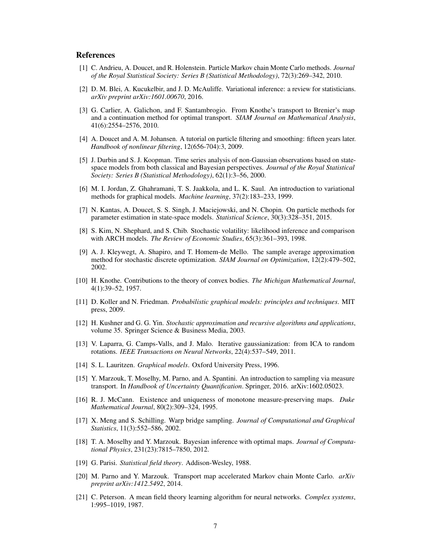# References

- <span id="page-6-17"></span>[1] C. Andrieu, A. Doucet, and R. Holenstein. Particle Markov chain Monte Carlo methods. *Journal of the Royal Statistical Society: Series B (Statistical Methodology)*, 72(3):269–342, 2010.
- <span id="page-6-5"></span>[2] D. M. Blei, A. Kucukelbir, and J. D. McAuliffe. Variational inference: a review for statisticians. *arXiv preprint arXiv:1601.00670*, 2016.
- <span id="page-6-11"></span>[3] G. Carlier, A. Galichon, and F. Santambrogio. From Knothe's transport to Brenier's map and a continuation method for optimal transport. *SIAM Journal on Mathematical Analysis*, 41(6):2554–2576, 2010.
- <span id="page-6-16"></span>[4] A. Doucet and A. M. Johansen. A tutorial on particle filtering and smoothing: fifteen years later. *Handbook of nonlinear filtering*, 12(656-704):3, 2009.
- <span id="page-6-20"></span>[5] J. Durbin and S. J. Koopman. Time series analysis of non-Gaussian observations based on statespace models from both classical and Bayesian perspectives. *Journal of the Royal Statistical Society: Series B (Statistical Methodology)*, 62(1):3–56, 2000.
- <span id="page-6-4"></span>[6] M. I. Jordan, Z. Ghahramani, T. S. Jaakkola, and L. K. Saul. An introduction to variational methods for graphical models. *Machine learning*, 37(2):183–233, 1999.
- <span id="page-6-18"></span>[7] N. Kantas, A. Doucet, S. S. Singh, J. Maciejowski, and N. Chopin. On particle methods for parameter estimation in state-space models. *Statistical Science*, 30(3):328–351, 2015.
- <span id="page-6-19"></span>[8] S. Kim, N. Shephard, and S. Chib. Stochastic volatility: likelihood inference and comparison with ARCH models. *The Review of Economic Studies*, 65(3):361–393, 1998.
- <span id="page-6-12"></span>[9] A. J. Kleywegt, A. Shapiro, and T. Homem-de Mello. The sample average approximation method for stochastic discrete optimization. *SIAM Journal on Optimization*, 12(2):479–502, 2002.
- <span id="page-6-10"></span>[10] H. Knothe. Contributions to the theory of convex bodies. *The Michigan Mathematical Journal*, 4(1):39–52, 1957.
- <span id="page-6-15"></span>[11] D. Koller and N. Friedman. *Probabilistic graphical models: principles and techniques*. MIT press, 2009.
- <span id="page-6-13"></span>[12] H. Kushner and G. G. Yin. *Stochastic approximation and recursive algorithms and applications*, volume 35. Springer Science & Business Media, 2003.
- <span id="page-6-8"></span>[13] V. Laparra, G. Camps-Valls, and J. Malo. Iterative gaussianization: from ICA to random rotations. *IEEE Transactions on Neural Networks*, 22(4):537–549, 2011.
- <span id="page-6-14"></span>[14] S. L. Lauritzen. *Graphical models*. Oxford University Press, 1996.
- <span id="page-6-0"></span>[15] Y. Marzouk, T. Moselhy, M. Parno, and A. Spantini. An introduction to sampling via measure transport. In *Handbook of Uncertainty Quantification*. Springer, 2016. arXiv:1602.05023.
- <span id="page-6-1"></span>[16] R. J. McCann. Existence and uniqueness of monotone measure-preserving maps. *Duke Mathematical Journal*, 80(2):309–324, 1995.
- <span id="page-6-9"></span>[17] X. Meng and S. Schilling. Warp bridge sampling. *Journal of Computational and Graphical Statistics*, 11(3):552–586, 2002.
- <span id="page-6-2"></span>[18] T. A. Moselhy and Y. Marzouk. Bayesian inference with optimal maps. *Journal of Computational Physics*, 231(23):7815–7850, 2012.
- <span id="page-6-6"></span>[19] G. Parisi. *Statistical field theory*. Addison-Wesley, 1988.
- <span id="page-6-3"></span>[20] M. Parno and Y. Marzouk. Transport map accelerated Markov chain Monte Carlo. *arXiv preprint arXiv:1412.5492*, 2014.
- <span id="page-6-7"></span>[21] C. Peterson. A mean field theory learning algorithm for neural networks. *Complex systems*, 1:995–1019, 1987.